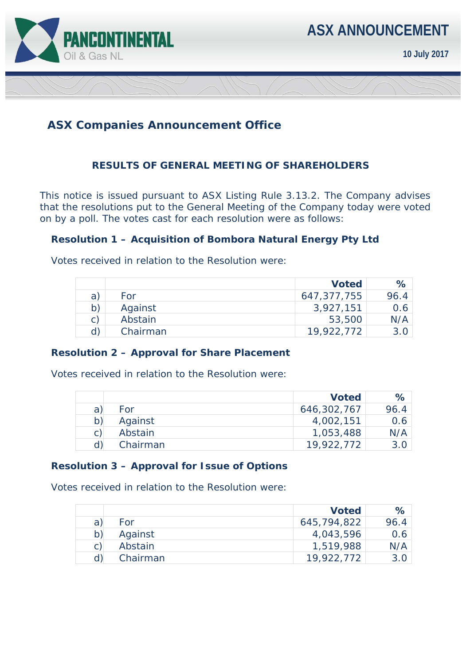

# **ASX Companies Announcement Office**

## **RESULTS OF GENERAL MEETING OF SHAREHOLDERS**

This notice is issued pursuant to ASX Listing Rule 3.13.2. The Company advises that the resolutions put to the General Meeting of the Company today were voted on by a poll. The votes cast for each resolution were as follows:

### **Resolution 1 – Acquisition of Bombora Natural Energy Pty Ltd**

Votes received in relation to the Resolution were:

|    |          | <b>Voted</b> | ℅                |
|----|----------|--------------|------------------|
| a  | For      | 647,377,755  | 96.4             |
| b) | Against  | 3,927,151    | 0.6 <sub>1</sub> |
| C) | Abstain  | 53,500       | N/A              |
| d) | Chairman | 19,922,772   |                  |

### **Resolution 2 – Approval for Share Placement**

Votes received in relation to the Resolution were:

|   |          | <b>Voted</b> | $\%$ |
|---|----------|--------------|------|
| a | For      | 646,302,767  | 96.4 |
|   | Against  | 4,002,151    | 0.6  |
| C | Abstain  | 1,053,488    | N/A  |
|   | Chairman | 19,922,772   | 3.O  |

### **Resolution 3 – Approval for Issue of Options**

Votes received in relation to the Resolution were:

|   |          | <b>Voted</b> | $\%$ |
|---|----------|--------------|------|
| a | For      | 645,794,822  | 96.4 |
|   | Against  | 4,043,596    | 0.6  |
| C | Abstain  | 1,519,988    | N/A  |
|   | Chairman | 19,922,772   | 3.0  |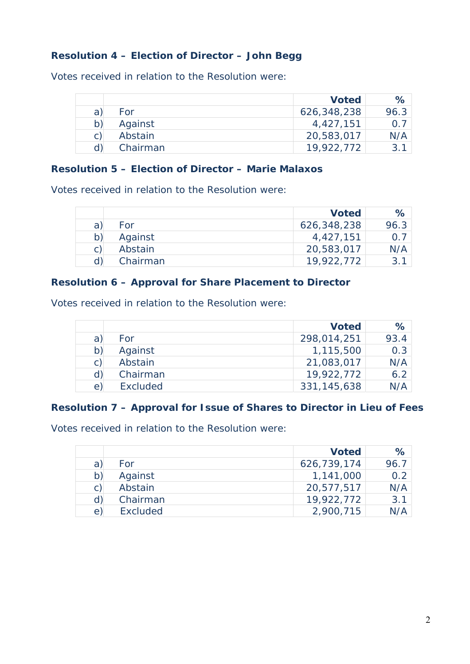## **Resolution 4 – Election of Director – John Begg**

Votes received in relation to the Resolution were:

|    |          | <b>Voted</b> | ℅    |
|----|----------|--------------|------|
| a) | For      | 626,348,238  | 96.3 |
| b) | Against  | 4,427,151    | O 7  |
| C) | Abstain  | 20,583,017   | N/A  |
|    | Chairman | 19,922,772   | 3 1  |

### **Resolution 5 – Election of Director – Marie Malaxos**

Votes received in relation to the Resolution were:

|   |          | <b>Voted</b> | $\%$ |
|---|----------|--------------|------|
| a | For      | 626,348,238  | 96.3 |
|   | Against  | 4,427,151    | 0.7  |
|   | Abstain  | 20,583,017   | N/A  |
|   | Chairman | 19,922,772   |      |

### **Resolution 6 – Approval for Share Placement to Director**

Votes received in relation to the Resolution were:

|    |                 | <b>Voted</b>  | %    |
|----|-----------------|---------------|------|
| a  | For             | 298,014,251   | 93.4 |
| b) | Against         | 1,115,500     | 0.3  |
| C) | Abstain         | 21,083,017    | N/A  |
| d) | Chairman        | 19,922,772    | 6.2  |
| e) | <b>Excluded</b> | 331, 145, 638 | N/A  |

## **Resolution 7 – Approval for Issue of Shares to Director in Lieu of Fees**

Votes received in relation to the Resolution were:

|                |          | <b>Voted</b> | %    |
|----------------|----------|--------------|------|
| a)             | For      | 626,739,174  | 96.7 |
| b)             | Against  | 1,141,000    | 0.2  |
| $\mathsf{C}$ ) | Abstain  | 20,577,517   | N/A  |
| d)             | Chairman | 19,922,772   | 3.1  |
| e)             | Excluded | 2,900,715    |      |